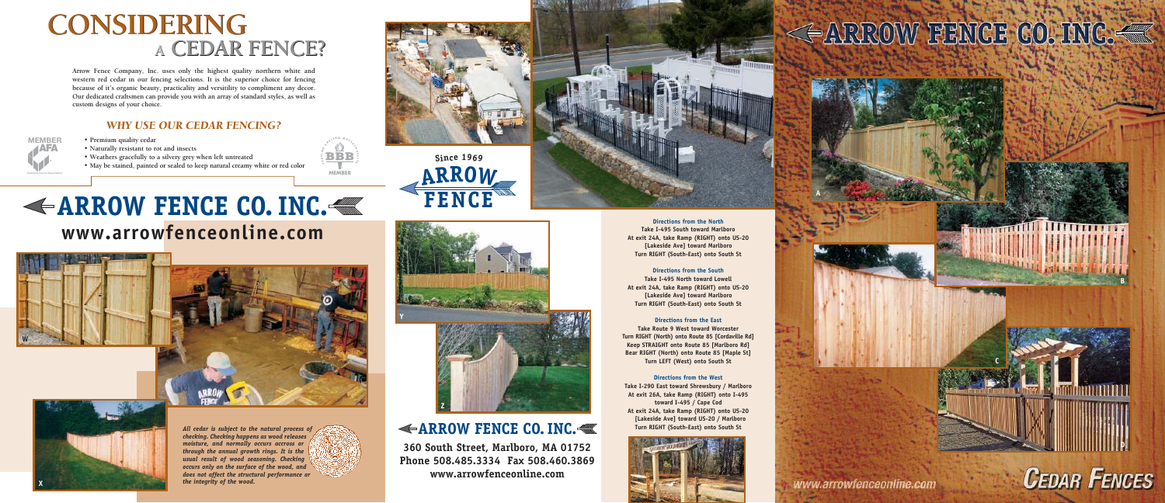**Arrow Fence Company, Inc. uses only the highest quality northern white and western red cedar in our fencing selections. It is the superior choice for fencing because of it's organic beauty, practicality and versitility to compliment any decor. Our dedicated craftsmen can provide you with an array of standard styles, as well as custom designs of your choice.**

## **<sup>A</sup> CEDAR FENCE? <sup>A</sup> CEDAR FENCE? CONSIDERING CONSIDERING**

#### *WHY USE OUR CEDAR FENCING?*

**• Premium quality cedar**

All cedar is subject to the natural process of *checking. Checking happens as wood releases moisture, and normally occurs accross or through the annual growth rings. It is the usual result of wood seasoning. Checking occurs only on the surface of the wood, and does not affect the structural performance or the integrity of the wood.*





- **Naturally resistant to rot and insects**
- **Weathers gracefully to a silvery grey when left untreated**
- **May be stained, painted or sealed to keep natural creamy white or red color**

## **ARROW FENCE CO. INC.**

**360 South Street, Marlboro, MA 01752 Phone 508.485.3334 Fax 508.460.3869 www.arrowfenceonline.com**



**Directions from the North Take I-495 South toward Marlboro At exit 24A, take Ramp (RIGHT) onto US-20 [Lakeside Ave] toward Marlboro Turn RIGHT (South-East) onto South St** 

#### **Directions from the South**

**Take I-495 North toward Lowell At exit 24A, take Ramp (RIGHT) onto US-20 [Lakeside Ave] toward Marlboro Turn RIGHT (South-East) onto South St** 

#### **Directions from the East**

**Take Route 9 West toward Worcester Turn RIGHT (North) onto Route 85 [Cordaville Rd] Keep STRAIGHT onto Route 85 [Marlboro Rd] Bear RIGHT (North) onto Route 85 [Maple St] Turn LEFT (West) onto South St** 

#### **Directions from the West**

**Take I-290 East toward Shrewsbury / Marlboro At exit 26A, take Ramp (RIGHT) onto I-495 toward I-495 / Cape Cod At exit 24A, take Ramp (RIGHT) onto US-20 [Lakeside Ave] toward US-20 / Marlboro Turn RIGHT (South-East) onto South St**



## << ARROW FENCE CO. INC.

AFA **MEMBER**

 **American Fence Association**



## **ARROW FENCE CO. INC. www.arrowfenceonline.com V**











**Y**